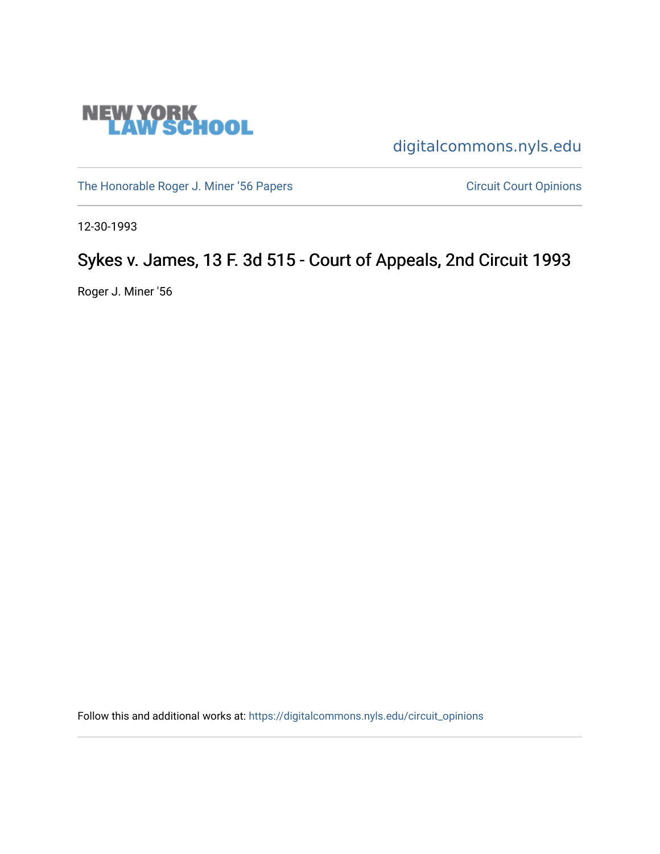

[digitalcommons.nyls.edu](https://digitalcommons.nyls.edu/) 

[The Honorable Roger J. Miner '56 Papers](https://digitalcommons.nyls.edu/miner_papers) Circuit Court Opinions

12-30-1993

# Sykes v. James, 13 F. 3d 515 - Court of Appeals, 2nd Circuit 1993

Roger J. Miner '56

Follow this and additional works at: [https://digitalcommons.nyls.edu/circuit\\_opinions](https://digitalcommons.nyls.edu/circuit_opinions?utm_source=digitalcommons.nyls.edu%2Fcircuit_opinions%2F397&utm_medium=PDF&utm_campaign=PDFCoverPages)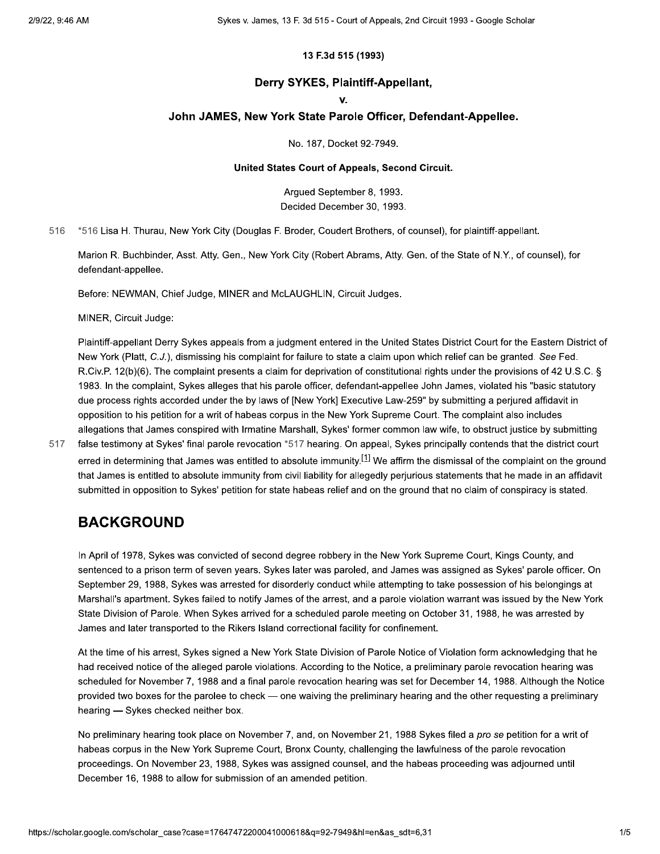### 13 F.3d 515 (1993)

### Derry SYKES, Plaintiff-Appellant,

#### v.

### John JAMES, New York State Parole Officer, Defendant-Appellee.

No. 187, Docket 92-7949.

### United States Court of Appeals, Second Circuit.

Arqued September 8, 1993. Decided December 30, 1993.

\*516 Lisa H. Thurau, New York City (Douglas F. Broder, Coudert Brothers, of counsel), for plaintiff-appellant. 516

Marion R. Buchbinder, Asst. Atty. Gen., New York City (Robert Abrams, Atty. Gen. of the State of N.Y., of counsel), for defendant-appellee.

Before: NEWMAN, Chief Judge, MINER and McLAUGHLIN, Circuit Judges.

MINER, Circuit Judge:

Plaintiff-appellant Derry Sykes appeals from a judgment entered in the United States District Court for the Eastern District of New York (Platt, C.J.), dismissing his complaint for failure to state a claim upon which relief can be granted. See Fed. R.Civ.P. 12(b)(6). The complaint presents a claim for deprivation of constitutional rights under the provisions of 42 U.S.C. § 1983. In the complaint, Sykes alleges that his parole officer, defendant-appellee John James, violated his "basic statutory due process rights accorded under the by laws of [New York] Executive Law-259" by submitting a perjured affidavit in opposition to his petition for a writ of habeas corpus in the New York Supreme Court. The complaint also includes allegations that James conspired with Irmatine Marshall, Sykes' former common law wife, to obstruct justice by submitting

517

false testimony at Sykes' final parole revocation \*517 hearing. On appeal, Sykes principally contends that the district court erred in determining that James was entitled to absolute immunity.<sup>[1]</sup> We affirm the dismissal of the complaint on the ground that James is entitled to absolute immunity from civil liability for allegedly perjurious statements that he made in an affidavit submitted in opposition to Sykes' petition for state habeas relief and on the ground that no claim of conspiracy is stated.

### **BACKGROUND**

In April of 1978, Sykes was convicted of second degree robbery in the New York Supreme Court, Kings County, and sentenced to a prison term of seven years. Sykes later was paroled, and James was assigned as Sykes' parole officer. On September 29, 1988, Sykes was arrested for disorderly conduct while attempting to take possession of his belongings at Marshall's apartment. Sykes failed to notify James of the arrest, and a parole violation warrant was issued by the New York State Division of Parole. When Sykes arrived for a scheduled parole meeting on October 31, 1988, he was arrested by James and later transported to the Rikers Island correctional facility for confinement.

At the time of his arrest, Sykes signed a New York State Division of Parole Notice of Violation form acknowledging that he had received notice of the alleged parole violations. According to the Notice, a preliminary parole revocation hearing was scheduled for November 7, 1988 and a final parole revocation hearing was set for December 14, 1988. Although the Notice provided two boxes for the parolee to check — one waiving the preliminary hearing and the other requesting a preliminary hearing - Sykes checked neither box.

No preliminary hearing took place on November 7, and, on November 21, 1988 Sykes filed a pro se petition for a writ of habeas corpus in the New York Supreme Court, Bronx County, challenging the lawfulness of the parole revocation proceedings. On November 23, 1988, Sykes was assigned counsel, and the habeas proceeding was adjourned until December 16, 1988 to allow for submission of an amended petition.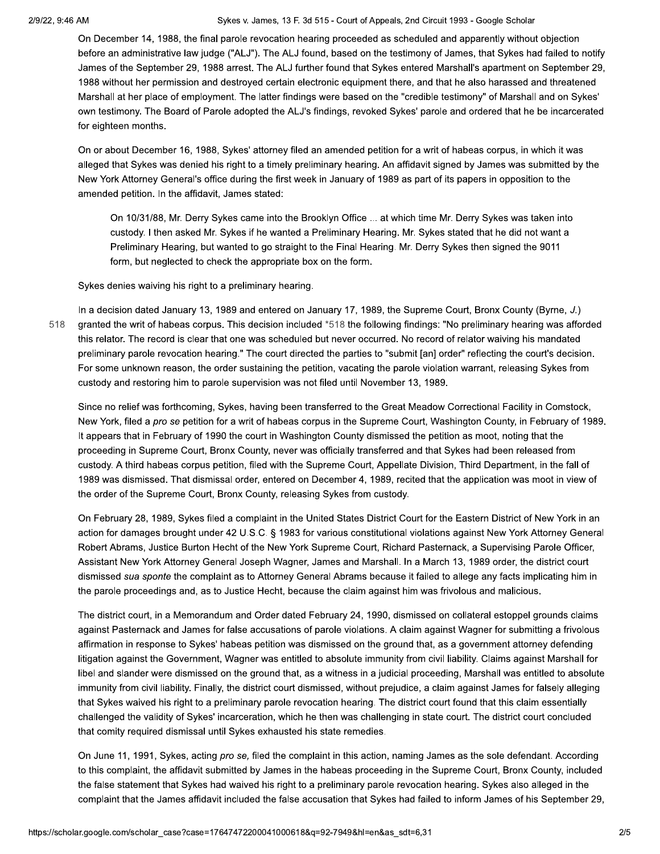#### Sykes v. James, 13 F. 3d 515 - Court of Appeals, 2nd Circuit 1993 - Google Scholar

On December 14, 1988, the final parole revocation hearing proceeded as scheduled and apparently without objection before an administrative law judge ("ALJ"). The ALJ found, based on the testimony of James, that Sykes had failed to notify James of the September 29, 1988 arrest. The ALJ further found that Sykes entered Marshall's apartment on September 29, 1988 without her permission and destroyed certain electronic equipment there, and that he also harassed and threatened Marshall at her place of employment. The latter findings were based on the "credible testimony" of Marshall and on Sykes' own testimony. The Board of Parole adopted the ALJ's findings, revoked Sykes' parole and ordered that he be incarcerated for eighteen months.

On or about December 16, 1988, Sykes' attorney filed an amended petition for a writ of habeas corpus, in which it was alleged that Sykes was denied his right to a timely preliminary hearing. An affidavit signed by James was submitted by the New York Attorney General's office during the first week in January of 1989 as part of its papers in opposition to the amended petition. In the affidavit, James stated:

On 10/31/88, Mr. Derry Sykes came into the Brooklyn Office ... at which time Mr. Derry Sykes was taken into custody. I then asked Mr. Sykes if he wanted a Preliminary Hearing. Mr. Sykes stated that he did not want a Preliminary Hearing, but wanted to go straight to the Final Hearing. Mr. Derry Sykes then signed the 9011 form, but neglected to check the appropriate box on the form.

Sykes denies waiving his right to a preliminary hearing.

518

In a decision dated January 13, 1989 and entered on January 17, 1989, the Supreme Court, Bronx County (Byrne, J.) granted the writ of habeas corpus. This decision included \*518 the following findings: "No preliminary hearing was afforded this relator. The record is clear that one was scheduled but never occurred. No record of relator waiving his mandated preliminary parole revocation hearing." The court directed the parties to "submit [an] order" reflecting the court's decision. For some unknown reason, the order sustaining the petition, vacating the parole violation warrant, releasing Sykes from custody and restoring him to parole supervision was not filed until November 13, 1989.

Since no relief was forthcoming, Sykes, having been transferred to the Great Meadow Correctional Facility in Comstock, New York, filed a pro se petition for a writ of habeas corpus in the Supreme Court, Washington County, in February of 1989. It appears that in February of 1990 the court in Washington County dismissed the petition as moot, noting that the proceeding in Supreme Court, Bronx County, never was officially transferred and that Sykes had been released from custody. A third habeas corpus petition, filed with the Supreme Court, Appellate Division, Third Department, in the fall of 1989 was dismissed. That dismissal order, entered on December 4, 1989, recited that the application was moot in view of the order of the Supreme Court, Bronx County, releasing Sykes from custody.

On February 28, 1989. Sykes filed a complaint in the United States District Court for the Eastern District of New York in an action for damages brought under 42 U.S.C. § 1983 for various constitutional violations against New York Attorney General Robert Abrams, Justice Burton Hecht of the New York Supreme Court, Richard Pasternack, a Supervising Parole Officer, Assistant New York Attorney General Joseph Wagner, James and Marshall. In a March 13, 1989 order, the district court dismissed sua sponte the complaint as to Attorney General Abrams because it failed to allege any facts implicating him in the parole proceedings and, as to Justice Hecht, because the claim against him was frivolous and malicious.

The district court, in a Memorandum and Order dated February 24, 1990, dismissed on collateral estoppel grounds claims against Pasternack and James for false accusations of parole violations. A claim against Wagner for submitting a frivolous affirmation in response to Sykes' habeas petition was dismissed on the ground that, as a government attorney defending litigation against the Government, Wagner was entitled to absolute immunity from civil liability. Claims against Marshall for libel and slander were dismissed on the ground that, as a witness in a judicial proceeding, Marshall was entitled to absolute immunity from civil liability. Finally, the district court dismissed, without prejudice, a claim against James for falsely alleging that Sykes waived his right to a preliminary parole revocation hearing. The district court found that this claim essentially challenged the validity of Sykes' incarceration, which he then was challenging in state court. The district court concluded that comity required dismissal until Sykes exhausted his state remedies.

On June 11, 1991, Sykes, acting pro se, filed the complaint in this action, naming James as the sole defendant. According to this complaint, the affidavit submitted by James in the habeas proceeding in the Supreme Court, Bronx County, included the false statement that Sykes had waived his right to a preliminary parole revocation hearing. Sykes also alleged in the complaint that the James affidavit included the false accusation that Sykes had failed to inform James of his September 29,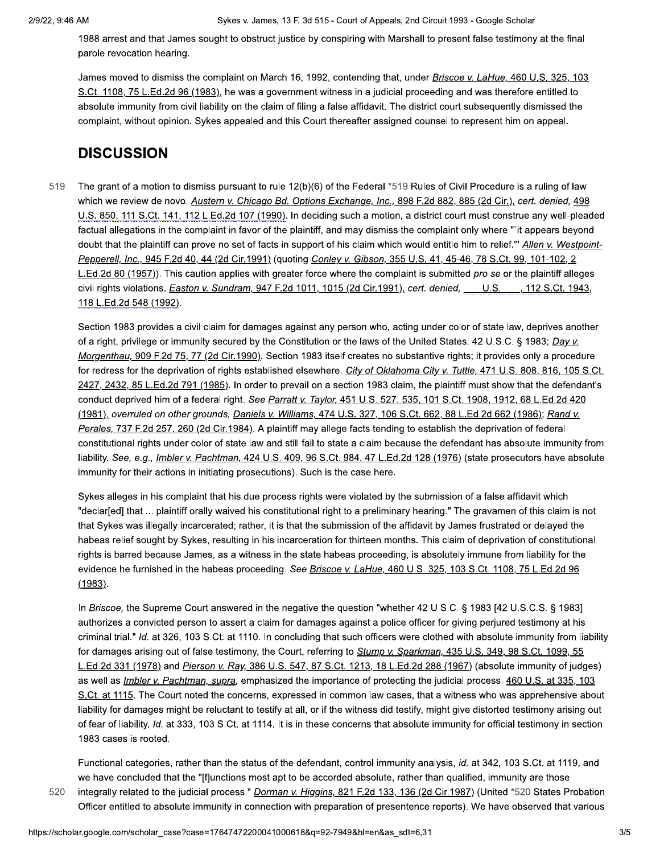1988 arrest and that James sought to obstruct justice by conspiring with Marshall to present false testimony at the final parole revocation hearing.

James moved to dismiss the complaint on March 16, 1992, contending that, under Briscoe v. LaHue, 460 U.S. 325, 103 S.Ct. 1108, 75 L.Ed.2d 96 (1983), he was a government witness in a judicial proceeding and was therefore entitled to absolute immunity from civil liability on the claim of filing a false affidavit. The district court subsequently dismissed the complaint, without opinion. Sykes appealed and this Court thereafter assigned counsel to represent him on appeal.

### **DISCUSSION**

519 The grant of a motion to dismiss pursuant to rule  $12(b)(6)$  of the Federal \*519 Rules of Civil Procedure is a ruling of law which we review de novo. Austern v. Chicago Bd. Options Exchange, Inc., 898 F.2d 882, 885 (2d Cir.), cert. denied, 498 U.S. 850, 111 S.Ct. 141, 112 L.Ed.2d 107 (1990). In deciding such a motion, a district court must construe any well-pleaded factual allegations in the complaint in favor of the plaintiff, and may dismiss the complaint only where "it appears beyond doubt that the plaintiff can prove no set of facts in support of his claim which would entitle him to relief." Allen v. Westpoint-Pepperell, Inc., 945 F.2d 40, 44 (2d Cir.1991) (quoting Conley v. Gibson, 355 U.S. 41, 45-46, 78 S.Ct. 99, 101-102, 2 L.Ed.2d 80 (1957)). This caution applies with greater force where the complaint is submitted pro se or the plaintiff alleges civil rights violations. *Easton v. Sundram*, 947 F.2d 1011, 1015 (2d Cir.1991), cert. denied, U.S. 112 S.Ct. 1943. 118 L.Ed.2d 548 (1992).

Section 1983 provides a civil claim for damages against any person who, acting under color of state law, deprives another of a right, privilege or immunity secured by the Constitution or the laws of the United States. 42 U.S.C. § 1983; Day v. Morgenthau, 909 F.2d 75, 77 (2d Cir.1990). Section 1983 itself creates no substantive rights; it provides only a procedure for redress for the deprivation of rights established elsewhere. City of Oklahoma City v. Tuttle, 471 U.S. 808, 816, 105 S.Ct. 2427, 2432, 85 L.Ed.2d 791 (1985). In order to prevail on a section 1983 claim, the plaintiff must show that the defendant's conduct deprived him of a federal right. See Parratt v. Taylor, 451 U.S. 527, 535, 101 S.Ct. 1908, 1912, 68 L.Ed.2d 420 (1981), overruled on other grounds, Daniels v. Williams, 474 U.S. 327, 106 S.Ct. 662, 88 L.Ed.2d 662 (1986); Rand v. Perales, 737 F.2d 257, 260 (2d Cir.1984). A plaintiff may allege facts tending to establish the deprivation of federal constitutional rights under color of state law and still fail to state a claim because the defendant has absolute immunity from liability. See, e.g., *Imbler v. Pachtman, 424 U.S. 409, 96 S.Ct. 984, 47 L.Ed.2d 128 (1976)* (state prosecutors have absolute immunity for their actions in initiating prosecutions). Such is the case here.

Sykes alleges in his complaint that his due process rights were violated by the submission of a false affidavit which "declar[ed] that ... plaintiff orally waived his constitutional right to a preliminary hearing." The gravamen of this claim is not that Sykes was illegally incarcerated; rather, it is that the submission of the affidavit by James frustrated or delayed the habeas relief sought by Sykes, resulting in his incarceration for thirteen months. This claim of deprivation of constitutional rights is barred because James, as a witness in the state habeas proceeding, is absolutely immune from liability for the evidence he furnished in the habeas proceeding. See Briscoe v. LaHue, 460 U.S. 325, 103 S.Ct. 1108, 75 L.Ed.2d 96  $(1983)$ .

In Briscoe, the Supreme Court answered in the negative the question "whether 42 U.S.C. § 1983 [42 U.S.C.S. § 1983] authorizes a convicted person to assert a claim for damages against a police officer for giving perjured testimony at his criminal trial." Id. at 326, 103 S.Ct. at 1110. In concluding that such officers were clothed with absolute immunity from liability for damages arising out of false testimony, the Court, referring to Stump v. Sparkman, 435 U.S. 349, 98 S.Ct. 1099, 55 L.Ed.2d 331 (1978) and Pierson v. Ray, 386 U.S. 547, 87 S.Ct. 1213, 18 L.Ed.2d 288 (1967) (absolute immunity of judges) as well as *Imbler v. Pachtman, supra*, emphasized the importance of protecting the judicial process. 460 U.S. at 335, 103 S.Ct. at 1115. The Court noted the concerns, expressed in common law cases, that a witness who was apprehensive about liability for damages might be reluctant to testify at all, or if the witness did testify, might give distorted testimony arising out of fear of liability. Id. at 333, 103 S.Ct. at 1114. It is in these concerns that absolute immunity for official testimony in section 1983 cases is rooted.

Functional categories, rather than the status of the defendant, control immunity analysis, id. at 342, 103 S.Ct. at 1119, and we have concluded that the "[flunctions most apt to be accorded absolute, rather than qualified, immunity are those integrally related to the judicial process." Dorman v. Higgins, 821 F.2d 133, 136 (2d Cir.1987) (United \*520 States Probation

Officer entitled to absolute immunity in connection with preparation of presentence reports). We have observed that various

520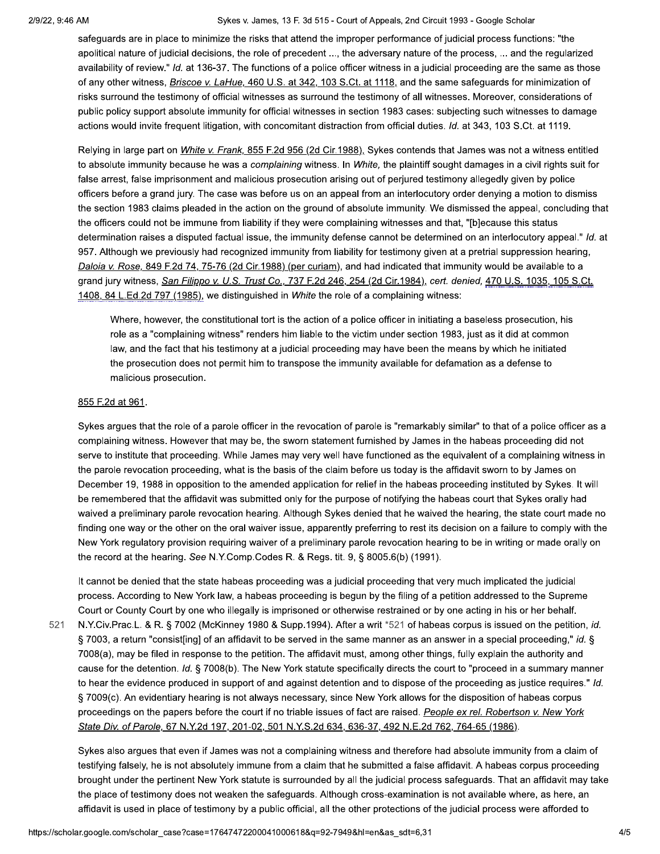### Sykes v. James, 13 F. 3d 515 - Court of Appeals, 2nd Circuit 1993 - Google Scholar

safeguards are in place to minimize the risks that attend the improper performance of judicial process functions: "the apolitical nature of judicial decisions, the role of precedent ..., the adversary nature of the process, ... and the regularized availability of review." Id. at 136-37. The functions of a police officer witness in a judicial proceeding are the same as those of any other witness, *Briscoe v. LaHue, 460 U.S. at 342, 103 S.Ct. at 1118*, and the same safeguards for minimization of risks surround the testimony of official witnesses as surround the testimony of all witnesses. Moreover, considerations of public policy support absolute immunity for official witnesses in section 1983 cases: subjecting such witnesses to damage actions would invite frequent litigation, with concomitant distraction from official duties. Id. at 343, 103 S.Ct. at 1119.

Relying in large part on White v. Frank, 855 F.2d 956 (2d Cir.1988), Sykes contends that James was not a witness entitled to absolute immunity because he was a complaining witness. In White, the plaintiff sought damages in a civil rights suit for false arrest, false imprisonment and malicious prosecution arising out of perjured testimony allegedly given by police officers before a grand jury. The case was before us on an appeal from an interlocutory order denying a motion to dismiss the section 1983 claims pleaded in the action on the ground of absolute immunity. We dismissed the appeal, concluding that the officers could not be immune from liability if they were complaining witnesses and that, "[b]ecause this status determination raises a disputed factual issue, the immunity defense cannot be determined on an interlocutory appeal." Id. at 957. Although we previously had recognized immunity from liability for testimony given at a pretrial suppression hearing, Daloia v. Rose, 849 F.2d 74, 75-76 (2d Cir.1988) (per curiam), and had indicated that immunity would be available to a grand jury witness, San Filippo v. U.S. Trust Co., 737 F.2d 246, 254 (2d Cir.1984), cert. denied, 470 U.S. 1035, 105 S.Ct. 1408, 84 L.Ed.2d 797 (1985), we distinguished in White the role of a complaining witness:

Where, however, the constitutional tort is the action of a police officer in initiating a baseless prosecution, his role as a "complaining witness" renders him liable to the victim under section 1983, just as it did at common law, and the fact that his testimony at a judicial proceeding may have been the means by which he initiated the prosecution does not permit him to transpose the immunity available for defamation as a defense to malicious prosecution.

### 855 F.2d at 961.

Sykes argues that the role of a parole officer in the revocation of parole is "remarkably similar" to that of a police officer as a complaining witness. However that may be, the sworn statement furnished by James in the habeas proceeding did not serve to institute that proceeding. While James may very well have functioned as the equivalent of a complaining witness in the parole revocation proceeding, what is the basis of the claim before us today is the affidavit sworn to by James on December 19, 1988 in opposition to the amended application for relief in the habeas proceeding instituted by Sykes. It will be remembered that the affidavit was submitted only for the purpose of notifying the habeas court that Sykes orally had waived a preliminary parole revocation hearing. Although Sykes denied that he waived the hearing, the state court made no finding one way or the other on the oral waiver issue, apparently preferring to rest its decision on a failure to comply with the New York regulatory provision requiring waiver of a preliminary parole revocation hearing to be in writing or made orally on the record at the hearing. See N.Y.Comp.Codes R. & Regs. tit. 9, § 8005.6(b) (1991).

It cannot be denied that the state habeas proceeding was a judicial proceeding that very much implicated the judicial process. According to New York law, a habeas proceeding is begun by the filing of a petition addressed to the Supreme Court or County Court by one who illegally is imprisoned or otherwise restrained or by one acting in his or her behalf.

N.Y.Civ.Prac.L. & R. § 7002 (McKinney 1980 & Supp.1994). After a writ \*521 of habeas corpus is issued on the petition, id. 521 § 7003, a return "consist[ing] of an affidavit to be served in the same manner as an answer in a special proceeding," id. § 7008(a), may be filed in response to the petition. The affidavit must, among other things, fully explain the authority and cause for the detention. Id. § 7008(b). The New York statute specifically directs the court to "proceed in a summary manner to hear the evidence produced in support of and against detention and to dispose of the proceeding as justice requires." Id. § 7009(c). An evidentiary hearing is not always necessary, since New York allows for the disposition of habeas corpus proceedings on the papers before the court if no triable issues of fact are raised. People ex rel. Robertson v. New York State Div. of Parole, 67 N.Y.2d 197, 201-02, 501 N.Y.S.2d 634, 636-37, 492 N.E.2d 762, 764-65 (1986).

Sykes also argues that even if James was not a complaining witness and therefore had absolute immunity from a claim of testifying falsely, he is not absolutely immune from a claim that he submitted a false affidavit. A habeas corpus proceeding brought under the pertinent New York statute is surrounded by all the judicial process safeguards. That an affidavit may take the place of testimony does not weaken the safeguards. Although cross-examination is not available where, as here, an affidavit is used in place of testimony by a public official, all the other protections of the judicial process were afforded to